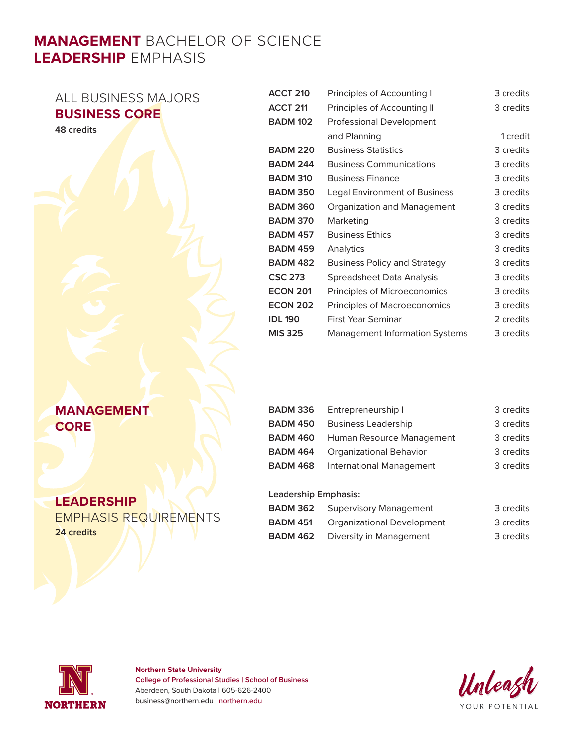# **MANAGEMENT** BACHELOR OF SCIENCE **LEADERSHIP** EMPHASIS

# ALL BUSINESS MAJORS **BUSINESS CORE**

**48 credits**

### **MANAGEMENT CORE**

### **LEADERSHIP**

EMPHASIS REQUIREMENTS **24 credits**

| <b>ACCT 210</b> | Principles of Accounting I            | 3 credits |
|-----------------|---------------------------------------|-----------|
| <b>ACCT 211</b> | Principles of Accounting II           | 3 credits |
| <b>BADM 102</b> | <b>Professional Development</b>       |           |
|                 | and Planning                          | 1 credit  |
| <b>BADM 220</b> | <b>Business Statistics</b>            | 3 credits |
| <b>BADM 244</b> | <b>Business Communications</b>        | 3 credits |
| <b>BADM 310</b> | <b>Business Finance</b>               | 3 credits |
| <b>BADM 350</b> | Legal Environment of Business         | 3 credits |
| <b>BADM 360</b> | Organization and Management           | 3 credits |
| <b>BADM 370</b> | Marketing                             | 3 credits |
| <b>BADM 457</b> | <b>Business Ethics</b>                | 3 credits |
| <b>BADM 459</b> | Analytics                             | 3 credits |
| <b>BADM 482</b> | <b>Business Policy and Strategy</b>   | 3 credits |
| <b>CSC 273</b>  | Spreadsheet Data Analysis             | 3 credits |
| <b>ECON 201</b> | Principles of Microeconomics          | 3 credits |
| <b>ECON 202</b> | Principles of Macroeconomics          | 3 credits |
| <b>IDL 190</b>  | First Year Seminar                    | 2 credits |
| <b>MIS 325</b>  | <b>Management Information Systems</b> | 3 credits |

| BADM 336        | Entrepreneurship I         | 3 credits |
|-----------------|----------------------------|-----------|
| <b>BADM 450</b> | <b>Business Leadership</b> | 3 credits |
| BADM 460        | Human Resource Management  | 3 credits |
| <b>BADM 464</b> | Organizational Behavior    | 3 credits |
| <b>BADM 468</b> | International Management   | 3 credits |
|                 |                            |           |

#### **Leadership Emphasis:**

| BADM 362        | <b>Supervisory Management</b> | 3 credits |
|-----------------|-------------------------------|-----------|
| <b>BADM 451</b> | Organizational Development    | 3 credits |
| BADM 462        | Diversity in Management       | 3 credits |



**Northern State University College of Professional Studies | School of Business** Aberdeen, South Dakota | 605-626-2400 business@northern.edu | northern.edu